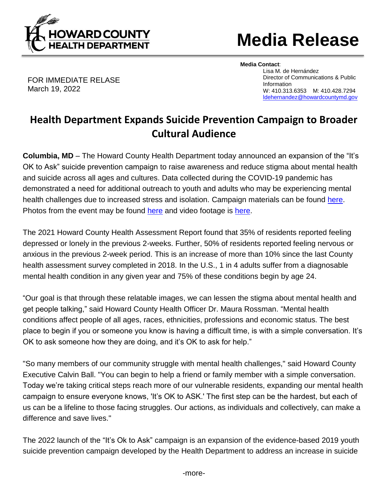

## **Media Release**

FOR IMMEDIATE RELASE March 19, 2022

**Media Contact**: Lisa M. de Hernández Director of Communications & Public Information W: 410.313.6353 M: 410.428.7294 [ldehernandez@howardcountymd.gov](mailto:ldehernandez@howardcountymd.gov)

## **Health Department Expands Suicide Prevention Campaign to Broader Cultural Audience**

**Columbia, MD** – The Howard County Health Department today announced an expansion of the "It's OK to Ask" suicide prevention campaign to raise awareness and reduce stigma about mental health and suicide across all ages and cultures. Data collected during the COVID-19 pandemic has demonstrated a need for additional outreach to youth and adults who may be experiencing mental health challenges due to increased stress and isolation. Campaign materials can be found [here.](https://www.howardcountymd.gov/health/suicide-prevention) Photos from the event may be found [here](https://flic.kr/s/aHBqjzQDtL) and video footage is [here.](https://www.youtube.com/watch?v=ZY03XIpr9io)

The 2021 Howard County Health Assessment Report found that 35% of residents reported feeling depressed or lonely in the previous 2-weeks. Further, 50% of residents reported feeling nervous or anxious in the previous 2-week period. This is an increase of more than 10% since the last County health assessment survey completed in 2018. In the U.S., 1 in 4 adults suffer from a diagnosable mental health condition in any given year and 75% of these conditions begin by age 24.

"Our goal is that through these relatable images, we can lessen the stigma about mental health and get people talking," said Howard County Health Officer Dr. Maura Rossman. "Mental health conditions affect people of all ages, races, ethnicities, professions and economic status. The best place to begin if you or someone you know is having a difficult time, is with a simple conversation. It's OK to ask someone how they are doing, and it's OK to ask for help."

"So many members of our community struggle with mental health challenges," said Howard County Executive Calvin Ball. "You can begin to help a friend or family member with a simple conversation. Today we're taking critical steps reach more of our vulnerable residents, expanding our mental health campaign to ensure everyone knows, 'It's OK to ASK.' The first step can be the hardest, but each of us can be a lifeline to those facing struggles. Our actions, as individuals and collectively, can make a difference and save lives."

The 2022 launch of the "It's Ok to Ask" campaign is an expansion of the evidence-based 2019 youth suicide prevention campaign developed by the Health Department to address an increase in suicide